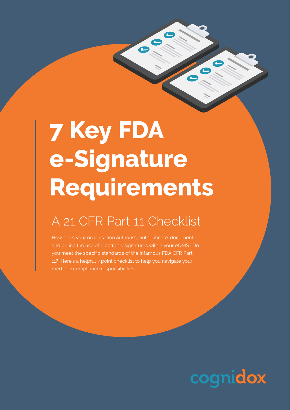## **7 Key FDA e-Signature Requirements**

 $\sqrt{2}$ 

### A 21 CFR Part 11 Checklist

How does your organisation authorise, authenticate, document and police the use of electronic signatures within your eQMS? Do you meet the specific standards of the infamous FDA CFR Part 11? Here's a helpful 7 point checklist to help you navigate your med dev compliance responsibilities:

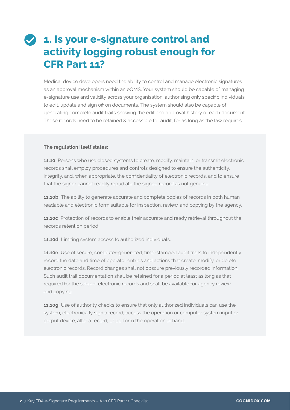#### **1. Is your e-signature control and activity logging robust enough for CFR Part 11?**

Medical device developers need the ability to control and manage electronic signatures as an approval mechanism within an eQMS. Your system should be capable of managing e-signature use and validity across your organisation, authorising only specific individuals to edit, update and sign off on documents. The system should also be capable of generating complete audit trails showing the edit and approval history of each document. These records need to be retained & accessible for audit, for as long as the law requires:

#### **The regulation itself states:**

**11.10** Persons who use closed systems to create, modify, maintain, or transmit electronic records shall employ procedures and controls designed to ensure the authenticity, integrity, and, when appropriate, the confidentiality of electronic records, and to ensure that the signer cannot readily repudiate the signed record as not genuine.

**11.10b** The ability to generate accurate and complete copies of records in both human readable and electronic form suitable for inspection, review, and copying by the agency.

**11.10c** Protection of records to enable their accurate and ready retrieval throughout the records retention period.

**11.10d** Limiting system access to authorized individuals.

**11.10e** Use of secure, computer-generated, time-stamped audit trails to independently record the date and time of operator entries and actions that create, modify, or delete electronic records. Record changes shall not obscure previously recorded information. Such audit trail documentation shall be retained for a period at least as long as that required for the subject electronic records and shall be available for agency review and copying.

**11.10g** Use of authority checks to ensure that only authorized individuals can use the system, electronically sign a record, access the operation or computer system input or output device, alter a record, or perform the operation at hand.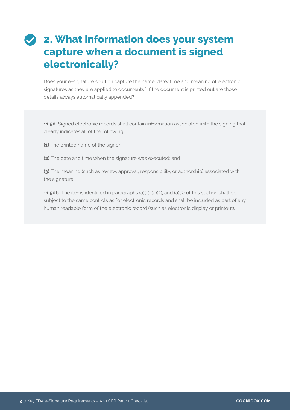#### **2. What information does your system capture when a document is signed electronically?**

Does your e-signature solution capture the name, date/time and meaning of electronic signatures as they are applied to documents? If the document is printed out are those details always automatically appended?

**11.50** Signed electronic records shall contain information associated with the signing that clearly indicates all of the following:

**(1)** The printed name of the signer;

**(2)** The date and time when the signature was executed; and

**(3)** The meaning (such as review, approval, responsibility, or authorship) associated with the signature.

**11.50b** The items identified in paragraphs (a)(1), (a)(2), and (a)(3) of this section shall be subject to the same controls as for electronic records and shall be included as part of any human readable form of the electronic record (such as electronic display or printout).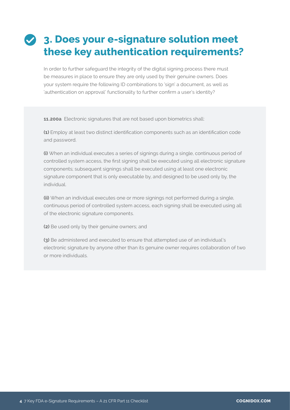### **3. Does your e-signature solution meet these key authentication requirements?**

In order to further safeguard the integrity of the digital signing process there must be measures in place to ensure they are only used by their genuine owners. Does your system require the following ID combinations to 'sign' a document, as well as 'authentication on approval' functionality to further confirm a user's identity?

**11.200a** Electronic signatures that are not based upon biometrics shall:

**(1)** Employ at least two distinct identification components such as an identification code and password.

**(i)** When an individual executes a series of signings during a single, continuous period of controlled system access, the first signing shall be executed using all electronic signature components; subsequent signings shall be executed using at least one electronic signature component that is only executable by, and designed to be used only by, the individual.

**(ii)** When an individual executes one or more signings not performed during a single, continuous period of controlled system access, each signing shall be executed using all of the electronic signature components.

**(2)** Be used only by their genuine owners; and

**(3)** Be administered and executed to ensure that attempted use of an individual's electronic signature by anyone other than its genuine owner requires collaboration of two or more individuals.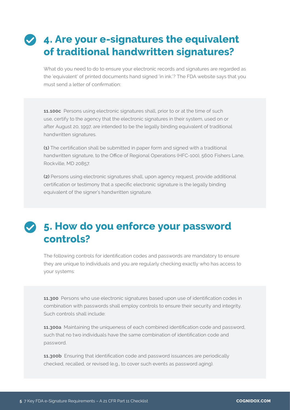### **4. Are your e-signatures the equivalent of traditional handwritten signatures?**

What do you need to do to ensure your electronic records and signatures are regarded as the 'equivalent' of printed documents hand signed 'in ink.'? The FDA website says that you must send a letter of confirmation:

**11.100c** Persons using electronic signatures shall, prior to or at the time of such use, certify to the agency that the electronic signatures in their system, used on or after August 20, 1997, are intended to be the legally binding equivalent of traditional handwritten signatures.

**(1)** The certification shall be submitted in paper form and signed with a traditional handwritten signature, to the Office of Regional Operations (HFC-100), 5600 Fishers Lane, Rockville, MD 20857.

**(2)** Persons using electronic signatures shall, upon agency request, provide additional certification or testimony that a specific electronic signature is the legally binding equivalent of the signer's handwritten signature.

#### **5. How do you enforce your password controls?**

The following controls for identification codes and passwords are mandatory to ensure they are unique to individuals and you are regularly checking exactly who has access to your systems:

**11.300** Persons who use electronic signatures based upon use of identification codes in combination with passwords shall employ controls to ensure their security and integrity. Such controls shall include:

**11.300a** Maintaining the uniqueness of each combined identification code and password, such that no two individuals have the same combination of identification code and password.

**11.300b** Ensuring that identification code and password issuances are periodically checked, recalled, or revised (e.g., to cover such events as password aging).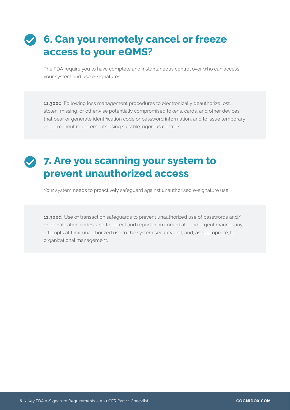#### **6. Can you remotely cancel or freeze access to your eQMS?**

The FDA require you to have complete and instantaneous control over who can access your system and use e-signatures:

**11.300c** Following loss management procedures to electronically deauthorize lost, stolen, missing, or otherwise potentially compromised tokens, cards, and other devices that bear or generate identification code or password information, and to issue temporary or permanent replacements using suitable, rigorous controls.

#### **7. Are you scanning your system to prevent unauthorized access**

Your system needs to proactively safeguard against unauthorised e-signature use

**11.300d** Use of transaction safeguards to prevent unauthorized use of passwords and/ or identification codes, and to detect and report in an immediate and urgent manner any attempts at their unauthorized use to the system security unit, and, as appropriate, to organizational management.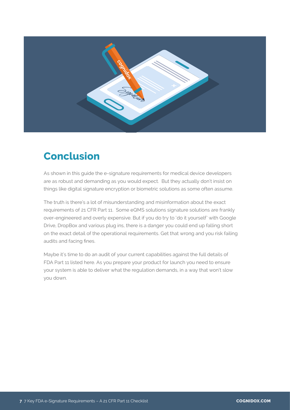

#### **Conclusion**

As shown in this guide the e-signature requirements for medical device developers are as robust and demanding as you would expect. But they actually don't insist on things like digital signature encryption or biometric solutions as some often assume.

The truth is there's a lot of misunderstanding and misinformation about the exact requirements of 21 CFR Part 11. Some eQMS solutions signature solutions are frankly over-engineered and overly expensive. But if you do try to 'do it yourself' with Google Drive, DropBox and various plug ins, there is a danger you could end up falling short on the exact detail of the operational requirements. Get that wrong and you risk failing audits and facing fines.

Maybe it's time to do an audit of your current capabilities against the full details of FDA Part 11 listed here. As you prepare your product for launch you need to ensure your system is able to deliver what the regulation demands, in a way that won't slow you down.